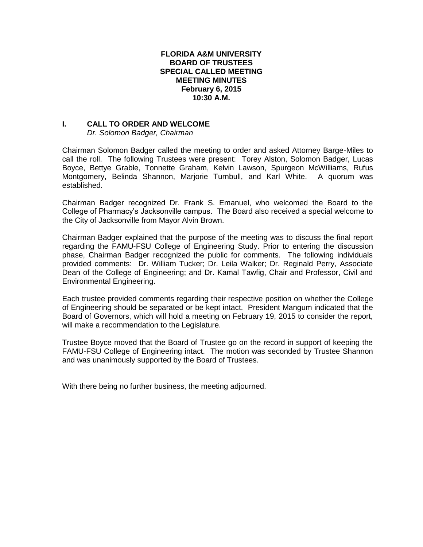## **FLORIDA A&M UNIVERSITY BOARD OF TRUSTEES SPECIAL CALLED MEETING MEETING MINUTES February 6, 2015 10:30 A.M.**

## **I. CALL TO ORDER AND WELCOME**

*Dr. Solomon Badger, Chairman*

Chairman Solomon Badger called the meeting to order and asked Attorney Barge-Miles to call the roll. The following Trustees were present: Torey Alston, Solomon Badger, Lucas Boyce, Bettye Grable, Tonnette Graham, Kelvin Lawson, Spurgeon McWilliams, Rufus Montgomery, Belinda Shannon, Marjorie Turnbull, and Karl White. A quorum was established.

Chairman Badger recognized Dr. Frank S. Emanuel, who welcomed the Board to the College of Pharmacy's Jacksonville campus. The Board also received a special welcome to the City of Jacksonville from Mayor Alvin Brown.

Chairman Badger explained that the purpose of the meeting was to discuss the final report regarding the FAMU-FSU College of Engineering Study. Prior to entering the discussion phase, Chairman Badger recognized the public for comments. The following individuals provided comments: Dr. William Tucker; Dr. Leila Walker; Dr. Reginald Perry, Associate Dean of the College of Engineering; and Dr. Kamal Tawfig, Chair and Professor, Civil and Environmental Engineering.

Each trustee provided comments regarding their respective position on whether the College of Engineering should be separated or be kept intact. President Mangum indicated that the Board of Governors, which will hold a meeting on February 19, 2015 to consider the report, will make a recommendation to the Legislature.

Trustee Boyce moved that the Board of Trustee go on the record in support of keeping the FAMU-FSU College of Engineering intact. The motion was seconded by Trustee Shannon and was unanimously supported by the Board of Trustees.

With there being no further business, the meeting adjourned.